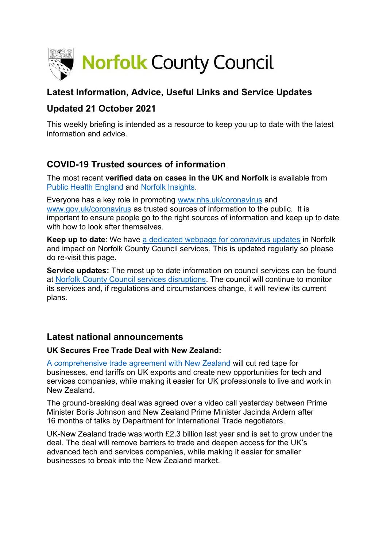

# **Latest Information, Advice, Useful Links and Service Updates**

# **Updated 21 October 2021**

This weekly briefing is intended as a resource to keep you up to date with the latest information and advice.

# **COVID-19 Trusted sources of information**

The most recent **verified data on cases in the UK and Norfolk** is available from [Public Health England](https://www.gov.uk/government/publications/covid-19-track-coronavirus-cases) and [Norfolk Insights.](https://www.norfolkinsight.org.uk/coronavirus/)

Everyone has a key role in promoting [www.nhs.uk/coronavirus](http://www.nhs.uk/coronavirus) and [www.gov.uk/coronavirus](http://www.gov.uk/coronavirus) as trusted sources of information to the public. It is important to ensure people go to the right sources of information and keep up to date with how to look after themselves.

**Keep up to date**: We have [a dedicated webpage for coronavirus updates](https://www.norfolk.gov.uk/care-support-and-health/health-and-wellbeing/adults-health/coronavirus/) in Norfolk and impact on Norfolk County Council services. This is updated regularly so please do re-visit this page.

**Service updates:** The most up to date information on council services can be found at [Norfolk County Council services disruptions.](https://www.norfolk.gov.uk/safety/service-disruptions) The council will continue to monitor its services and, if regulations and circumstances change, it will review its current plans.

## **Latest national announcements**

### **UK Secures Free Trade Deal with New Zealand:**

[A comprehensive trade agreement with New Zealand](https://www.gov.uk/government/news/uk-agrees-historic-trade-deal-with-new-zealand) will cut red tape for businesses, end tariffs on UK exports and create new opportunities for tech and services companies, while making it easier for UK professionals to live and work in New Zealand.

The ground-breaking deal was agreed over a video call yesterday between Prime Minister Boris Johnson and New Zealand Prime Minister Jacinda Ardern after 16 months of talks by Department for International Trade negotiators.

UK-New Zealand trade was worth £2.3 billion last year and is set to grow under the deal. The deal will remove barriers to trade and deepen access for the UK's advanced tech and services companies, while making it easier for smaller businesses to break into the New Zealand market.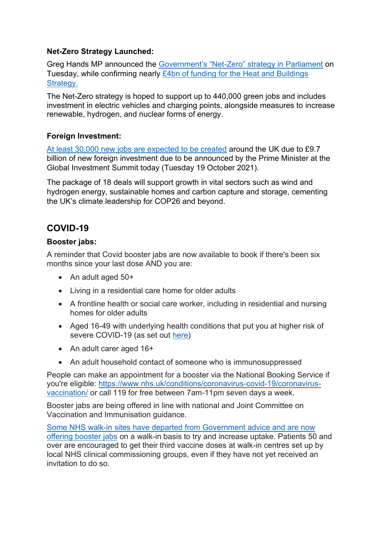### **Net-Zero Strategy Launched:**

Greg Hands MP announced the Government's "Net-[Zero" strategy in Parliament](https://www.localgov.co.uk/Government-announces-nearly-4bn-to-decarbonise-buildings--/53118) on Tuesday, while confirming nearly [£4bn of funding for the Heat and Buildings](https://www.localgov.co.uk/Government-announces-nearly-4bn-to-decarbonise-buildings--/53118)  [Strategy.](https://www.localgov.co.uk/Government-announces-nearly-4bn-to-decarbonise-buildings--/53118)

The Net-Zero strategy is hoped to support up to 440,000 green jobs and includes investment in electric vehicles and charging points, alongside measures to increase renewable, hydrogen, and nuclear forms of energy.

#### **Foreign Investment:**

[At least 30,000 new jobs are expected to be created](https://www.gov.uk/government/news/investors-pledge-almost-10bn-at-uk-global-investment-summit) around the UK due to £9.7 billion of new foreign investment due to be announced by the Prime Minister at the Global Investment Summit today (Tuesday 19 October 2021).

The package of 18 deals will support growth in vital sectors such as wind and hydrogen energy, sustainable homes and carbon capture and storage, cementing the UK's climate leadership for COP26 and beyond.

# **COVID-19**

#### **Booster jabs:**

A reminder that Covid booster jabs are now available to book if there's been six months since your last dose AND you are:

- An adult aged 50+
- Living in a residential care home for older adults
- A frontline health or social care worker, including in residential and nursing homes for older adults
- Aged 16-49 with underlying health conditions that put you at higher risk of severe COVID-19 (as set out [here\)](https://www.nhs.uk/conditions/coronavirus-covid-19/people-at-higher-risk/who-is-at-high-risk-from-coronavirus/?utm_source=Facebook&utm_medium=social&utm_campaign=Orlo)
- An adult carer aged 16+
- An adult household contact of someone who is immunosuppressed

People can make an appointment for a booster via the National Booking Service if you're eligible: [https://www.nhs.uk/conditions/coronavirus-covid-19/coronavirus](https://www.nhs.uk/conditions/coronavirus-covid-19/coronavirus-vaccination/)[vaccination/](https://www.nhs.uk/conditions/coronavirus-covid-19/coronavirus-vaccination/) or call 119 for free between 7am-11pm seven days a week.

Booster jabs are being offered in line with national and Joint Committee on Vaccination and Immunisation guidance.

Some NHS walk-in sites have departed [from Government advice and are now](https://inews.co.uk/news/booster-jabs-nhs-clinics-in-england-start-offering-walk-in-doses-1257300)  [offering booster jabs](https://inews.co.uk/news/booster-jabs-nhs-clinics-in-england-start-offering-walk-in-doses-1257300) on a walk-in basis to try and increase uptake. Patients 50 and over are encouraged to get their third vaccine doses at walk-in centres set up by local NHS clinical commissioning groups, even if they have not yet received an invitation to do so.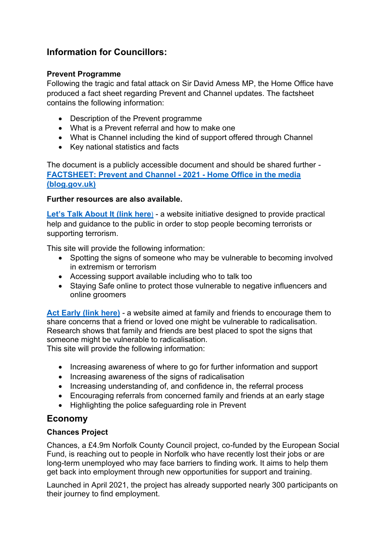# **Information for Councillors:**

### **Prevent Programme**

Following the tragic and fatal attack on Sir David Amess MP, the Home Office have produced a fact sheet regarding Prevent and Channel updates. The factsheet contains the following information:

- Description of the Prevent programme
- What is a Prevent referral and how to make one
- What is Channel including the kind of support offered through Channel
- Key national statistics and facts

The document is a publicly accessible document and should be shared further - **[FACTSHEET: Prevent and Channel -](https://eur02.safelinks.protection.outlook.com/?url=https%3A%2F%2Fhomeofficemedia.blog.gov.uk%2F2021%2F10%2F18%2Ffactsheet-prevent-and-channel-2021%2F&data=04%7C01%7Ctristan.hopper%40norfolk.gov.uk%7Cb66f0d7d812743536f1f08d994823d2b%7C1419177e57e04f0faff0fd61b549d10e%7C0%7C0%7C637704109350567576%7CUnknown%7CTWFpbGZsb3d8eyJWIjoiMC4wLjAwMDAiLCJQIjoiV2luMzIiLCJBTiI6Ik1haWwiLCJXVCI6Mn0%3D%7C1000&sdata=0SxlCNewkGEOVgZ30EOZGAuQy9IFxGYEeRw3650AFsw%3D&reserved=0) 2021 - Home Office in the media [\(blog.gov.uk\)](https://eur02.safelinks.protection.outlook.com/?url=https%3A%2F%2Fhomeofficemedia.blog.gov.uk%2F2021%2F10%2F18%2Ffactsheet-prevent-and-channel-2021%2F&data=04%7C01%7Ctristan.hopper%40norfolk.gov.uk%7Cb66f0d7d812743536f1f08d994823d2b%7C1419177e57e04f0faff0fd61b549d10e%7C0%7C0%7C637704109350567576%7CUnknown%7CTWFpbGZsb3d8eyJWIjoiMC4wLjAwMDAiLCJQIjoiV2luMzIiLCJBTiI6Ik1haWwiLCJXVCI6Mn0%3D%7C1000&sdata=0SxlCNewkGEOVgZ30EOZGAuQy9IFxGYEeRw3650AFsw%3D&reserved=0)**

#### **Further resources are also available.**

**[Let's Talk About It \(link here](https://eur02.safelinks.protection.outlook.com/?url=https%3A%2F%2Fwww.ltai.info%2F&data=04%7C01%7Ctristan.hopper%40norfolk.gov.uk%7Cb66f0d7d812743536f1f08d994823d2b%7C1419177e57e04f0faff0fd61b549d10e%7C0%7C0%7C637704109350577535%7CUnknown%7CTWFpbGZsb3d8eyJWIjoiMC4wLjAwMDAiLCJQIjoiV2luMzIiLCJBTiI6Ik1haWwiLCJXVCI6Mn0%3D%7C1000&sdata=sOSOSRxXPnLBPQsR58j6WmyO3UdQ7L3pG7MRS6fk50I%3D&reserved=0)**) - a website initiative designed to provide practical help and guidance to the public in order to stop people becoming terrorists or supporting terrorism.

This site will provide the following information:

- Spotting the signs of someone who may be vulnerable to becoming involved in extremism or terrorism
- Accessing support available including who to talk too
- Staying Safe online to protect those vulnerable to negative influencers and online groomers

**[Act Early \(link](https://eur02.safelinks.protection.outlook.com/?url=http%3A%2F%2Fwww.actearly.uk%2F&data=04%7C01%7Ctristan.hopper%40norfolk.gov.uk%7Cb66f0d7d812743536f1f08d994823d2b%7C1419177e57e04f0faff0fd61b549d10e%7C0%7C0%7C637704109350577535%7CUnknown%7CTWFpbGZsb3d8eyJWIjoiMC4wLjAwMDAiLCJQIjoiV2luMzIiLCJBTiI6Ik1haWwiLCJXVCI6Mn0%3D%7C1000&sdata=XF%2F64zWXL6sylrWUBPFTG8VcOQtNNEbEPJsbz26br44%3D&reserved=0) here)** - a website aimed at family and friends to encourage them to share concerns that a friend or loved one might be vulnerable to radicalisation. Research shows that family and friends are best placed to spot the signs that someone might be vulnerable to radicalisation. This site will provide the following information:

- Increasing awareness of where to go for further information and support
- Increasing awareness of the signs of radicalisation
- Increasing understanding of, and confidence in, the referral process
- Encouraging referrals from concerned family and friends at an early stage
- Highlighting the police safeguarding role in Prevent

## **Economy**

### **Chances Project**

Chances, a £4.9m Norfolk County Council project, co-funded by the European Social Fund, is reaching out to people in Norfolk who have recently lost their jobs or are long-term unemployed who may face barriers to finding work. It aims to help them get back into employment through new opportunities for support and training.

Launched in April 2021, the project has already supported nearly 300 participants on their journey to find employment.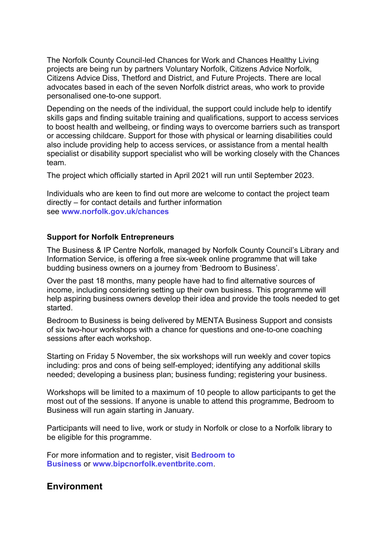The Norfolk County Council-led Chances for Work and Chances Healthy Living projects are being run by partners Voluntary Norfolk, Citizens Advice Norfolk, Citizens Advice Diss, Thetford and District, and Future Projects. There are local advocates based in each of the seven Norfolk district areas, who work to provide personalised one-to-one support.

Depending on the needs of the individual, the support could include help to identify skills gaps and finding suitable training and qualifications, support to access services to boost health and wellbeing, or finding ways to overcome barriers such as transport or accessing childcare. Support for those with physical or learning disabilities could also include providing help to access services, or assistance from a mental health specialist or disability support specialist who will be working closely with the Chances team.

The project which officially started in April 2021 will run until September 2023.

Individuals who are keen to find out more are welcome to contact the project team directly – for contact details and further information see **[www.norfolk.gov.uk/chances](https://www.norfolk.gov.uk/business/grants-and-funding/european-funding/eu-programmes/business-growth-innovation-and-skills/chances)**

#### **Support for Norfolk Entrepreneurs**

The Business & IP Centre Norfolk, managed by Norfolk County Council's Library and Information Service, is offering a free six-week online programme that will take budding business owners on a journey from 'Bedroom to Business'.

Over the past 18 months, many people have had to find alternative sources of income, including considering setting up their own business. This programme will help aspiring business owners develop their idea and provide the tools needed to get started.

Bedroom to Business is being delivered by MENTA Business Support and consists of six two-hour workshops with a chance for questions and one-to-one coaching sessions after each workshop.

Starting on Friday 5 November, the six workshops will run weekly and cover topics including: pros and cons of being self-employed; identifying any additional skills needed; developing a business plan; business funding; registering your business.

Workshops will be limited to a maximum of 10 people to allow participants to get the most out of the sessions. If anyone is unable to attend this programme, Bedroom to Business will run again starting in January.

Participants will need to live, work or study in Norfolk or close to a Norfolk library to be eligible for this programme.

For more information and to register, visit **[Bedroom to](https://www.eventbrite.co.uk/e/bedroom-to-business-are-you-ready-to-start-your-own-business-registration-192184738727)  [Business](https://www.eventbrite.co.uk/e/bedroom-to-business-are-you-ready-to-start-your-own-business-registration-192184738727)** or **[www.bipcnorfolk.eventbrite.com](https://www.eventbrite.co.uk/o/business-amp-ip-centre-norfolk-7488538381)**.

### **Environment**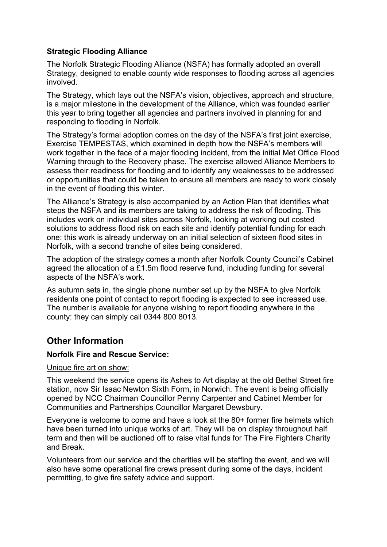### **Strategic Flooding Alliance**

The Norfolk Strategic Flooding Alliance (NSFA) has formally adopted an overall Strategy, designed to enable county wide responses to flooding across all agencies involved.

The Strategy, which lays out the NSFA's vision, objectives, approach and structure, is a major milestone in the development of the Alliance, which was founded earlier this year to bring together all agencies and partners involved in planning for and responding to flooding in Norfolk.

The Strategy's formal adoption comes on the day of the NSFA's first joint exercise, Exercise TEMPESTAS, which examined in depth how the NSFA's members will work together in the face of a major flooding incident, from the initial Met Office Flood Warning through to the Recovery phase. The exercise allowed Alliance Members to assess their readiness for flooding and to identify any weaknesses to be addressed or opportunities that could be taken to ensure all members are ready to work closely in the event of flooding this winter.

The Alliance's Strategy is also accompanied by an Action Plan that identifies what steps the NSFA and its members are taking to address the risk of flooding. This includes work on individual sites across Norfolk, looking at working out costed solutions to address flood risk on each site and identify potential funding for each one: this work is already underway on an initial selection of sixteen flood sites in Norfolk, with a second tranche of sites being considered.

The adoption of the strategy comes a month after Norfolk County Council's Cabinet agreed the allocation of a £1.5m flood reserve fund, including funding for several aspects of the NSFA's work.

As autumn sets in, the single phone number set up by the NSFA to give Norfolk residents one point of contact to report flooding is expected to see increased use. The number is available for anyone wishing to report flooding anywhere in the county: they can simply call 0344 800 8013.

## **Other Information**

#### **Norfolk Fire and Rescue Service:**

#### Unique fire art on show:

This weekend the service opens its Ashes to Art display at the old Bethel Street fire station, now Sir Isaac Newton Sixth Form, in Norwich. The event is being officially opened by NCC Chairman Councillor Penny Carpenter and Cabinet Member for Communities and Partnerships Councillor Margaret Dewsbury.

Everyone is welcome to come and have a look at the 80+ former fire helmets which have been turned into unique works of art. They will be on display throughout half term and then will be auctioned off to raise vital funds for The Fire Fighters Charity and Break.

Volunteers from our service and the charities will be staffing the event, and we will also have some operational fire crews present during some of the days, incident permitting, to give fire safety advice and support.